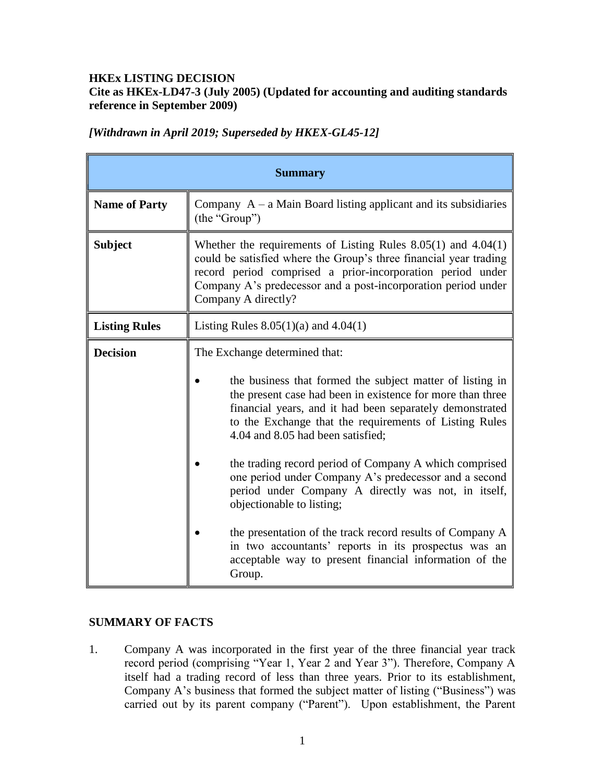# **HKEx LISTING DECISION Cite as HKEx-LD47-3 (July 2005) (Updated for accounting and auditing standards reference in September 2009)**

|  |  | [Withdrawn in April 2019; Superseded by HKEX-GL45-12] |
|--|--|-------------------------------------------------------|
|  |  |                                                       |

| <b>Summary</b>       |                                                                                                                                                                                                                                                                                              |  |  |  |  |
|----------------------|----------------------------------------------------------------------------------------------------------------------------------------------------------------------------------------------------------------------------------------------------------------------------------------------|--|--|--|--|
| <b>Name of Party</b> | Company $A - a$ Main Board listing applicant and its subsidiaries<br>(the "Group")                                                                                                                                                                                                           |  |  |  |  |
| <b>Subject</b>       | Whether the requirements of Listing Rules $8.05(1)$ and $4.04(1)$<br>could be satisfied where the Group's three financial year trading<br>record period comprised a prior-incorporation period under<br>Company A's predecessor and a post-incorporation period under<br>Company A directly? |  |  |  |  |
| <b>Listing Rules</b> | Listing Rules $8.05(1)(a)$ and $4.04(1)$                                                                                                                                                                                                                                                     |  |  |  |  |
| <b>Decision</b>      | The Exchange determined that:                                                                                                                                                                                                                                                                |  |  |  |  |
|                      | the business that formed the subject matter of listing in<br>the present case had been in existence for more than three<br>financial years, and it had been separately demonstrated<br>to the Exchange that the requirements of Listing Rules<br>4.04 and 8.05 had been satisfied;           |  |  |  |  |
|                      | the trading record period of Company A which comprised<br>one period under Company A's predecessor and a second<br>period under Company A directly was not, in itself,<br>objectionable to listing;                                                                                          |  |  |  |  |
|                      | the presentation of the track record results of Company A<br>in two accountants' reports in its prospectus was an<br>acceptable way to present financial information of the<br>Group.                                                                                                        |  |  |  |  |

### **SUMMARY OF FACTS**

1. Company A was incorporated in the first year of the three financial year track record period (comprising "Year 1, Year 2 and Year 3"). Therefore, Company A itself had a trading record of less than three years. Prior to its establishment, Company A's business that formed the subject matter of listing ("Business") was carried out by its parent company ("Parent"). Upon establishment, the Parent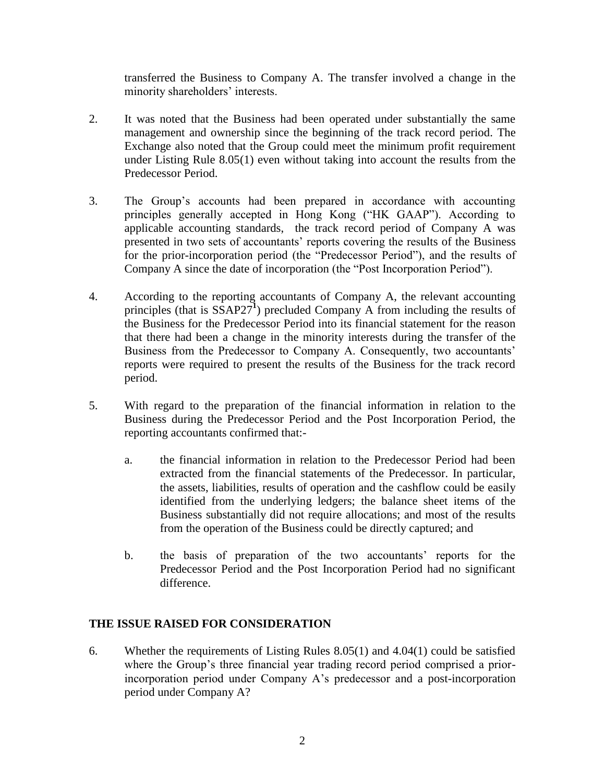transferred the Business to Company A. The transfer involved a change in the minority shareholders' interests.

- 2. It was noted that the Business had been operated under substantially the same management and ownership since the beginning of the track record period. The Exchange also noted that the Group could meet the minimum profit requirement under Listing Rule 8.05(1) even without taking into account the results from the Predecessor Period.
- 3. The Group's accounts had been prepared in accordance with accounting principles generally accepted in Hong Kong ("HK GAAP"). According to applicable accounting standards, the track record period of Company A was presented in two sets of accountants' reports covering the results of the Business for the prior-incorporation period (the "Predecessor Period"), and the results of Company A since the date of incorporation (the "Post Incorporation Period").
- 4. According to the reporting accountants of Company A, the relevant accounting principles (that is SSAP27<sup>1</sup>) precluded Company A from including the results of the Business for the Predecessor Period into its financial statement for the reason that there had been a change in the minority interests during the transfer of the Business from the Predecessor to Company A. Consequently, two accountants' reports were required to present the results of the Business for the track record period.
- 5. With regard to the preparation of the financial information in relation to the Business during the Predecessor Period and the Post Incorporation Period, the reporting accountants confirmed that:
	- a. the financial information in relation to the Predecessor Period had been extracted from the financial statements of the Predecessor. In particular, the assets, liabilities, results of operation and the cashflow could be easily identified from the underlying ledgers; the balance sheet items of the Business substantially did not require allocations; and most of the results from the operation of the Business could be directly captured; and
	- b. the basis of preparation of the two accountants' reports for the Predecessor Period and the Post Incorporation Period had no significant difference.

# **THE ISSUE RAISED FOR CONSIDERATION**

6. Whether the requirements of Listing Rules 8.05(1) and 4.04(1) could be satisfied where the Group's three financial year trading record period comprised a priorincorporation period under Company A's predecessor and a post-incorporation period under Company A?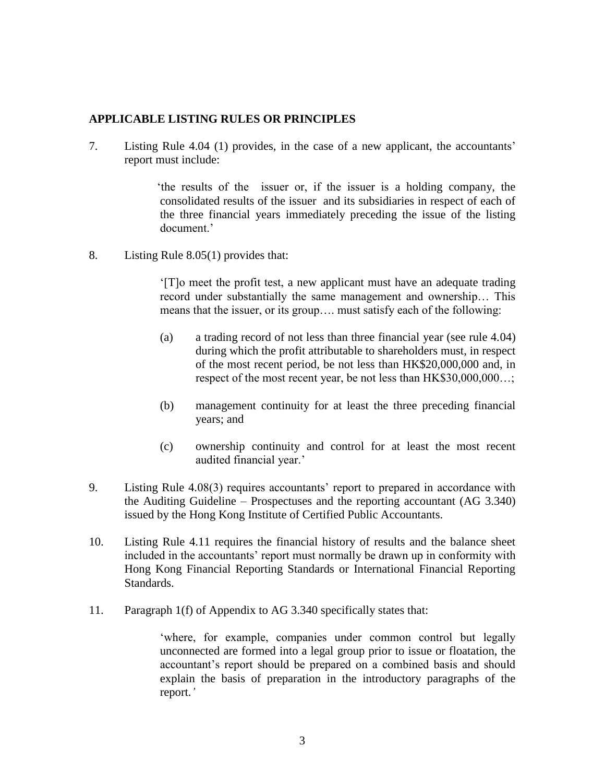### **APPLICABLE LISTING RULES OR PRINCIPLES**

7. Listing Rule 4.04 (1) provides, in the case of a new applicant, the accountants' report must include:

> 'the results of the issuer or, if the issuer is a holding company, the consolidated results of the issuer and its subsidiaries in respect of each of the three financial years immediately preceding the issue of the listing document.'

8. Listing Rule 8.05(1) provides that:

'[T]o meet the profit test, a new applicant must have an adequate trading record under substantially the same management and ownership… This means that the issuer, or its group…. must satisfy each of the following:

- (a) a trading record of not less than three financial year (see rule 4.04) during which the profit attributable to shareholders must, in respect of the most recent period, be not less than HK\$20,000,000 and, in respect of the most recent year, be not less than HK\$30,000,000...;
- (b) management continuity for at least the three preceding financial years; and
- (c) ownership continuity and control for at least the most recent audited financial year.'
- 9. Listing Rule 4.08(3) requires accountants' report to prepared in accordance with the Auditing Guideline – Prospectuses and the reporting accountant (AG 3.340) issued by the Hong Kong Institute of Certified Public Accountants.
- 10. Listing Rule 4.11 requires the financial history of results and the balance sheet included in the accountants' report must normally be drawn up in conformity with Hong Kong Financial Reporting Standards or International Financial Reporting Standards.
- 11. Paragraph 1(f) of Appendix to AG 3.340 specifically states that:

'where, for example, companies under common control but legally unconnected are formed into a legal group prior to issue or floatation, the accountant's report should be prepared on a combined basis and should explain the basis of preparation in the introductory paragraphs of the report.*'*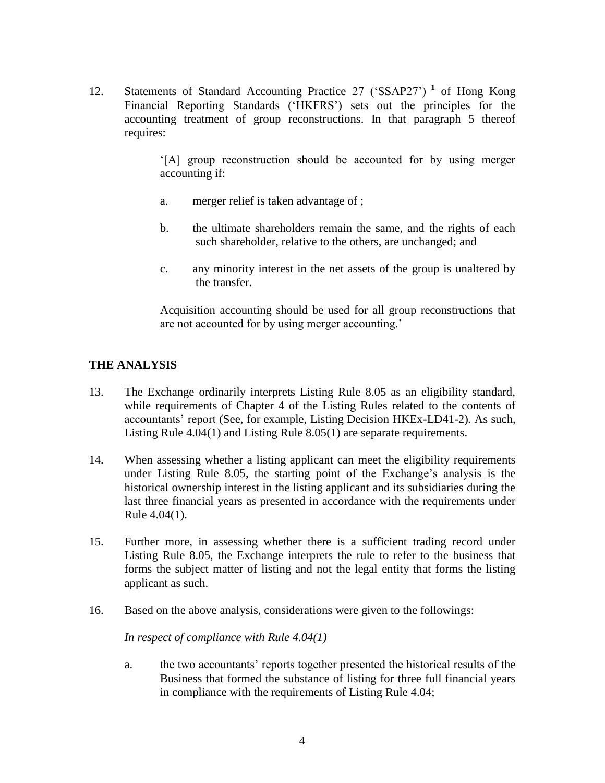12. Statements of Standard Accounting Practice 27 ('SSAP27') **<sup>1</sup>** of Hong Kong Financial Reporting Standards ('HKFRS') sets out the principles for the accounting treatment of group reconstructions. In that paragraph 5 thereof requires:

> '[A] group reconstruction should be accounted for by using merger accounting if:

- a. merger relief is taken advantage of ;
- b. the ultimate shareholders remain the same, and the rights of each such shareholder, relative to the others, are unchanged; and
- c. any minority interest in the net assets of the group is unaltered by the transfer.

Acquisition accounting should be used for all group reconstructions that are not accounted for by using merger accounting.'

# **THE ANALYSIS**

- 13. The Exchange ordinarily interprets Listing Rule 8.05 as an eligibility standard, while requirements of Chapter 4 of the Listing Rules related to the contents of accountants' report (See, for example, Listing Decision HKEx-LD41-2)*.* As such, Listing Rule 4.04(1) and Listing Rule 8.05(1) are separate requirements.
- 14. When assessing whether a listing applicant can meet the eligibility requirements under Listing Rule 8.05, the starting point of the Exchange's analysis is the historical ownership interest in the listing applicant and its subsidiaries during the last three financial years as presented in accordance with the requirements under Rule 4.04(1).
- 15. Further more, in assessing whether there is a sufficient trading record under Listing Rule 8.05, the Exchange interprets the rule to refer to the business that forms the subject matter of listing and not the legal entity that forms the listing applicant as such.
- 16. Based on the above analysis, considerations were given to the followings:

*In respect of compliance with Rule 4.04(1)* 

a. the two accountants' reports together presented the historical results of the Business that formed the substance of listing for three full financial years in compliance with the requirements of Listing Rule 4.04;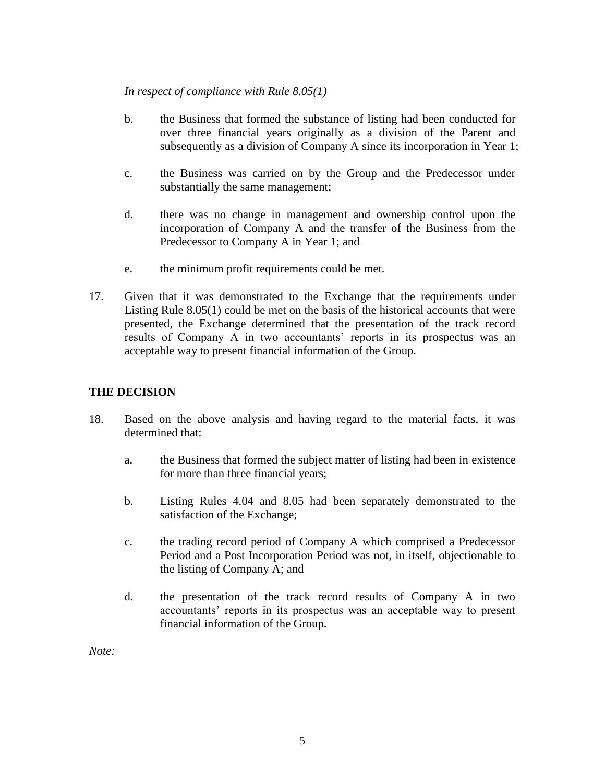#### *In respect of compliance with Rule 8.05(1)*

- b. the Business that formed the substance of listing had been conducted for over three financial years originally as a division of the Parent and subsequently as a division of Company A since its incorporation in Year 1;
- c. the Business was carried on by the Group and the Predecessor under substantially the same management;
- d. there was no change in management and ownership control upon the incorporation of Company A and the transfer of the Business from the Predecessor to Company A in Year 1; and
- e. the minimum profit requirements could be met.
- 17. Given that it was demonstrated to the Exchange that the requirements under Listing Rule 8.05(1) could be met on the basis of the historical accounts that were presented, the Exchange determined that the presentation of the track record results of Company A in two accountants' reports in its prospectus was an acceptable way to present financial information of the Group.

# **THE DECISION**

- 18. Based on the above analysis and having regard to the material facts, it was determined that:
	- a. the Business that formed the subject matter of listing had been in existence for more than three financial years;
	- b. Listing Rules 4.04 and 8.05 had been separately demonstrated to the satisfaction of the Exchange;
	- c. the trading record period of Company A which comprised a Predecessor Period and a Post Incorporation Period was not, in itself, objectionable to the listing of Company A; and
	- d. the presentation of the track record results of Company A in two accountants' reports in its prospectus was an acceptable way to present financial information of the Group.

*Note:*